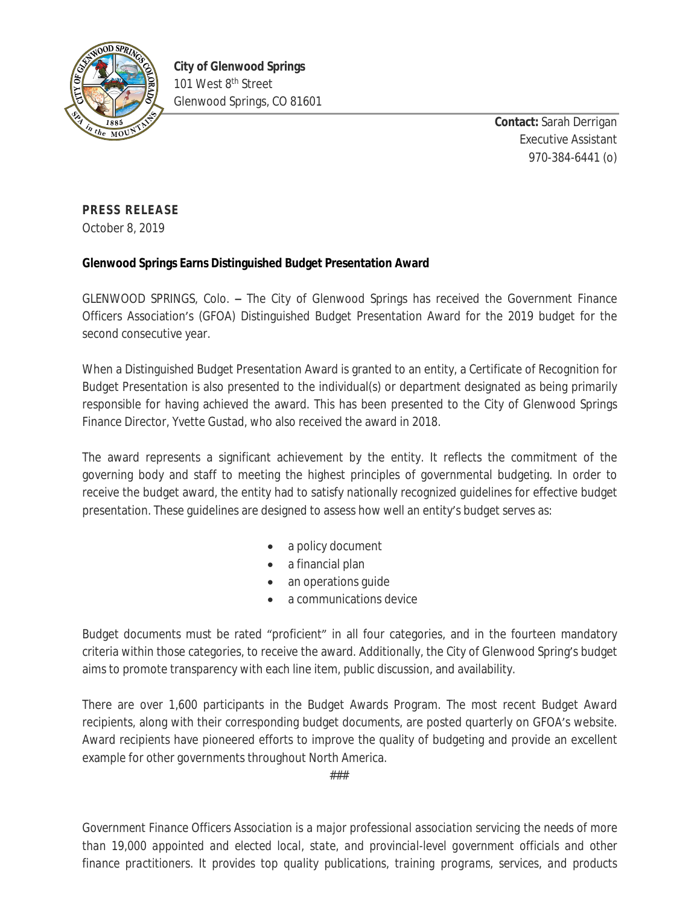

**Contact:** Sarah Derrigan Executive Assistant 970-384-6441 (o)

## **PRESS RELEASE**

October 8, 2019

## **Glenwood Springs Earns Distinguished Budget Presentation Award**

GLENWOOD SPRINGS, Colo. **–** The City of Glenwood Springs has received the Government Finance Officers Association's (GFOA) Distinguished Budget Presentation Award for the 2019 budget for the second consecutive year.

When a Distinguished Budget Presentation Award is granted to an entity, a Certificate of Recognition for Budget Presentation is also presented to the individual(s) or department designated as being primarily responsible for having achieved the award. This has been presented to the City of Glenwood Springs Finance Director, Yvette Gustad, who also received the award in 2018.

The award represents a significant achievement by the entity. It reflects the commitment of the governing body and staff to meeting the highest principles of governmental budgeting. In order to receive the budget award, the entity had to satisfy nationally recognized guidelines for effective budget presentation. These guidelines are designed to assess how well an entity's budget serves as:

- a policy document
- a financial plan
- an operations guide
- a communications device

Budget documents must be rated "proficient" in all four categories, and in the fourteen mandatory criteria within those categories, to receive the award. Additionally, the City of Glenwood Spring's budget aims to promote transparency with each line item, public discussion, and availability.

There are over 1,600 participants in the Budget Awards Program. The most recent Budget Award recipients, along with their corresponding budget documents, are posted quarterly on GFOA's website. Award recipients have pioneered efforts to improve the quality of budgeting and provide an excellent example for other governments throughout North America.

###

*Government Finance Officers Association is a major professional association servicing the needs of more than 19,000 appointed and elected local, state, and provincial-level government officials and other finance practitioners. It provides top quality publications, training programs, services, and products*